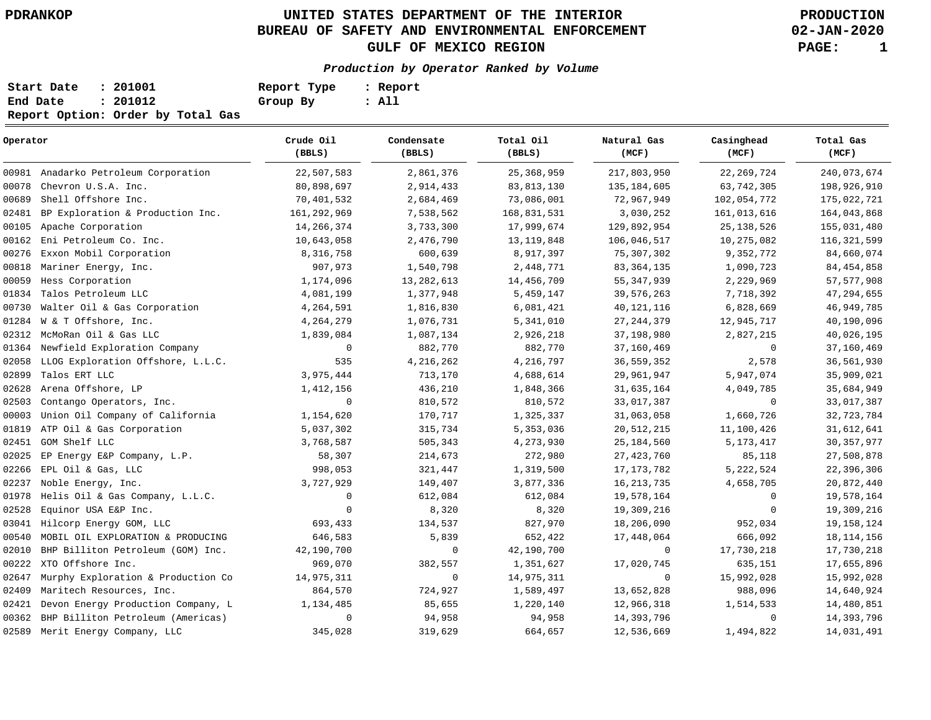**02-JAN-2020**

| Start Date | : 201001                          | Report Type | : Report |
|------------|-----------------------------------|-------------|----------|
| End Date   | : 201012                          | Group By    | : All    |
|            | Report Option: Order by Total Gas |             |          |

| Operator |                                      | Crude Oil<br>(BBLS) | Condensate<br>(BBLS) | Total Oil<br>(BBLS) | Natural Gas<br>(MCF) | Casinghead<br>(MCF) | Total Gas<br>(MCF) |
|----------|--------------------------------------|---------------------|----------------------|---------------------|----------------------|---------------------|--------------------|
|          | 00981 Anadarko Petroleum Corporation | 22,507,583          | 2,861,376            | 25, 368, 959        | 217,803,950          | 22, 269, 724        | 240,073,674        |
| 00078    | Chevron U.S.A. Inc.                  | 80,898,697          | 2,914,433            | 83, 813, 130        | 135, 184, 605        | 63,742,305          | 198,926,910        |
| 00689    | Shell Offshore Inc.                  | 70,401,532          | 2,684,469            | 73,086,001          | 72,967,949           | 102,054,772         | 175,022,721        |
| 02481    | BP Exploration & Production Inc.     | 161, 292, 969       | 7,538,562            | 168,831,531         | 3,030,252            | 161,013,616         | 164,043,868        |
| 00105    | Apache Corporation                   | 14,266,374          | 3,733,300            | 17,999,674          | 129,892,954          | 25, 138, 526        | 155,031,480        |
| 00162    | Eni Petroleum Co. Inc.               | 10,643,058          | 2,476,790            | 13, 119, 848        | 106,046,517          | 10,275,082          | 116, 321, 599      |
| 00276    | Exxon Mobil Corporation              | 8,316,758           | 600,639              | 8,917,397           | 75,307,302           | 9,352,772           | 84,660,074         |
| 00818    | Mariner Energy, Inc.                 | 907,973             | 1,540,798            | 2,448,771           | 83, 364, 135         | 1,090,723           | 84, 454, 858       |
| 00059    | Hess Corporation                     | 1,174,096           | 13, 282, 613         | 14,456,709          | 55, 347, 939         | 2,229,969           | 57, 577, 908       |
| 01834    | Talos Petroleum LLC                  | 4,081,199           | 1,377,948            | 5,459,147           | 39, 576, 263         | 7,718,392           | 47,294,655         |
| 00730    | Walter Oil & Gas Corporation         | 4,264,591           | 1,816,830            | 6,081,421           | 40, 121, 116         | 6,828,669           | 46,949,785         |
| 01284    | W & T Offshore, Inc.                 | 4,264,279           | 1,076,731            | 5,341,010           | 27, 244, 379         | 12,945,717          | 40,190,096         |
| 02312    | McMoRan Oil & Gas LLC                | 1,839,084           | 1,087,134            | 2,926,218           | 37,198,980           | 2,827,215           | 40,026,195         |
| 01364    | Newfield Exploration Company         | 0                   | 882,770              | 882,770             | 37,160,469           | $\mathbf 0$         | 37,160,469         |
| 02058    | LLOG Exploration Offshore, L.L.C.    | 535                 | 4, 216, 262          | 4,216,797           | 36, 559, 352         | 2,578               | 36,561,930         |
| 02899    | Talos ERT LLC                        | 3,975,444           | 713,170              | 4,688,614           | 29,961,947           | 5,947,074           | 35,909,021         |
| 02628    | Arena Offshore, LP                   | 1,412,156           | 436,210              | 1,848,366           | 31,635,164           | 4,049,785           | 35,684,949         |
| 02503    | Contango Operators, Inc.             | 0                   | 810,572              | 810,572             | 33,017,387           | 0                   | 33,017,387         |
| 00003    | Union Oil Company of California      | 1,154,620           | 170,717              | 1,325,337           | 31,063,058           | 1,660,726           | 32,723,784         |
| 01819    | ATP Oil & Gas Corporation            | 5,037,302           | 315,734              | 5,353,036           | 20, 512, 215         | 11,100,426          | 31,612,641         |
| 02451    | GOM Shelf LLC                        | 3,768,587           | 505,343              | 4,273,930           | 25, 184, 560         | 5, 173, 417         | 30, 357, 977       |
| 02025    | EP Energy E&P Company, L.P.          | 58,307              | 214,673              | 272,980             | 27, 423, 760         | 85,118              | 27,508,878         |
| 02266    | EPL Oil & Gas, LLC                   | 998,053             | 321,447              | 1,319,500           | 17, 173, 782         | 5,222,524           | 22,396,306         |
| 02237    | Noble Energy, Inc.                   | 3,727,929           | 149,407              | 3,877,336           | 16, 213, 735         | 4,658,705           | 20,872,440         |
| 01978    | Helis Oil & Gas Company, L.L.C.      | $\mathbf 0$         | 612,084              | 612,084             | 19,578,164           | $\mathbf 0$         | 19,578,164         |
| 02528    | Equinor USA E&P Inc.                 | $\mathbf 0$         | 8,320                | 8,320               | 19,309,216           | $\mathbf 0$         | 19,309,216         |
| 03041    | Hilcorp Energy GOM, LLC              | 693,433             | 134,537              | 827,970             | 18,206,090           | 952,034             | 19, 158, 124       |
| 00540    | MOBIL OIL EXPLORATION & PRODUCING    | 646,583             | 5,839                | 652,422             | 17,448,064           | 666,092             | 18, 114, 156       |
| 02010    | BHP Billiton Petroleum (GOM) Inc.    | 42,190,700          | $\mathbf 0$          | 42,190,700          | $\mathbf 0$          | 17,730,218          | 17,730,218         |
| 00222    | XTO Offshore Inc.                    | 969,070             | 382,557              | 1,351,627           | 17,020,745           | 635,151             | 17,655,896         |
| 02647    | Murphy Exploration & Production Co   | 14,975,311          | $\mathbf 0$          | 14,975,311          | $\mathbf 0$          | 15,992,028          | 15,992,028         |
| 02409    | Maritech Resources, Inc.             | 864,570             | 724,927              | 1,589,497           | 13,652,828           | 988,096             | 14,640,924         |
| 02421    | Devon Energy Production Company, L   | 1,134,485           | 85,655               | 1,220,140           | 12,966,318           | 1,514,533           | 14,480,851         |
| 00362    | BHP Billiton Petroleum (Americas)    | $\mathbf 0$         | 94,958               | 94,958              | 14,393,796           | $\mathbf 0$         | 14,393,796         |
|          | 02589 Merit Energy Company, LLC      | 345,028             | 319,629              | 664,657             | 12,536,669           | 1,494,822           | 14,031,491         |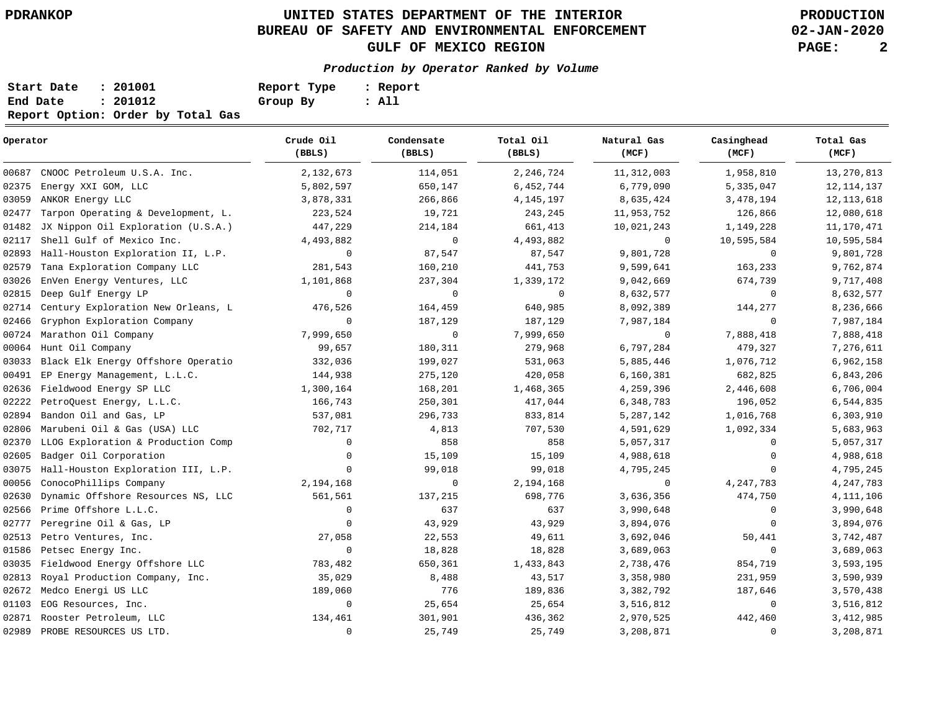**02-JAN-2020**

| Start Date | : 201001                          | Report Type | : Report |
|------------|-----------------------------------|-------------|----------|
| End Date   | : 201012                          | Group By    | : All    |
|            | Report Option: Order by Total Gas |             |          |

| Operator |                                    | Crude Oil<br>(BBLS) | Condensate<br>(BBLS) | Total Oil<br>(BBLS) | Natural Gas<br>(MCF) | Casinghead<br>(MCF) | Total Gas<br>(MCF) |
|----------|------------------------------------|---------------------|----------------------|---------------------|----------------------|---------------------|--------------------|
| 00687    | CNOOC Petroleum U.S.A. Inc.        | 2,132,673           | 114,051              | 2,246,724           | 11, 312, 003         | 1,958,810           | 13, 270, 813       |
| 02375    | Energy XXI GOM, LLC                | 5,802,597           | 650,147              | 6,452,744           | 6,779,090            | 5,335,047           | 12, 114, 137       |
| 03059    | ANKOR Energy LLC                   | 3,878,331           | 266,866              | 4, 145, 197         | 8,635,424            | 3,478,194           | 12, 113, 618       |
| 02477    | Tarpon Operating & Development, L. | 223,524             | 19,721               | 243,245             | 11,953,752           | 126,866             | 12,080,618         |
| 01482    | JX Nippon Oil Exploration (U.S.A.) | 447,229             | 214,184              | 661,413             | 10,021,243           | 1,149,228           | 11,170,471         |
| 02117    | Shell Gulf of Mexico Inc.          | 4,493,882           | 0                    | 4,493,882           | 0                    | 10,595,584          | 10,595,584         |
| 02893    | Hall-Houston Exploration II, L.P.  | $\mathbf 0$         | 87,547               | 87,547              | 9,801,728            | $\mathbf{0}$        | 9,801,728          |
| 02579    | Tana Exploration Company LLC       | 281,543             | 160,210              | 441,753             | 9,599,641            | 163,233             | 9,762,874          |
| 03026    | EnVen Energy Ventures, LLC         | 1,101,868           | 237,304              | 1,339,172           | 9,042,669            | 674,739             | 9,717,408          |
| 02815    | Deep Gulf Energy LP                | $\mathbf 0$         | $\mathbf 0$          | $\mathbf 0$         | 8,632,577            | 0                   | 8,632,577          |
| 02714    | Century Exploration New Orleans, L | 476,526             | 164,459              | 640,985             | 8,092,389            | 144,277             | 8,236,666          |
| 02466    | Gryphon Exploration Company        | $\mathbf 0$         | 187,129              | 187,129             | 7,987,184            | $\mathbf 0$         | 7,987,184          |
| 00724    | Marathon Oil Company               | 7,999,650           | $\overline{0}$       | 7,999,650           | 0                    | 7,888,418           | 7,888,418          |
| 00064    | Hunt Oil Company                   | 99,657              | 180,311              | 279,968             | 6,797,284            | 479,327             | 7,276,611          |
| 03033    | Black Elk Energy Offshore Operatio | 332,036             | 199,027              | 531,063             | 5,885,446            | 1,076,712           | 6,962,158          |
| 00491    | EP Energy Management, L.L.C.       | 144,938             | 275,120              | 420,058             | 6,160,381            | 682,825             | 6,843,206          |
| 02636    | Fieldwood Energy SP LLC            | 1,300,164           | 168,201              | 1,468,365           | 4,259,396            | 2,446,608           | 6,706,004          |
| 02222    | PetroQuest Energy, L.L.C.          | 166,743             | 250,301              | 417,044             | 6,348,783            | 196,052             | 6,544,835          |
| 02894    | Bandon Oil and Gas, LP             | 537,081             | 296,733              | 833,814             | 5, 287, 142          | 1,016,768           | 6,303,910          |
| 02806    | Marubeni Oil & Gas (USA) LLC       | 702,717             | 4,813                | 707,530             | 4,591,629            | 1,092,334           | 5,683,963          |
| 02370    | LLOG Exploration & Production Comp | $\mathbf 0$         | 858                  | 858                 | 5,057,317            | 0                   | 5,057,317          |
| 02605    | Badger Oil Corporation             | $\mathbf 0$         | 15,109               | 15,109              | 4,988,618            | $\mathbf 0$         | 4,988,618          |
| 03075    | Hall-Houston Exploration III, L.P. | $\mathbf 0$         | 99,018               | 99,018              | 4,795,245            | $\Omega$            | 4,795,245          |
| 00056    | ConocoPhillips Company             | 2,194,168           | 0                    | 2,194,168           | 0                    | 4, 247, 783         | 4, 247, 783        |
| 02630    | Dynamic Offshore Resources NS, LLC | 561,561             | 137,215              | 698,776             | 3,636,356            | 474,750             | 4, 111, 106        |
| 02566    | Prime Offshore L.L.C.              | 0                   | 637                  | 637                 | 3,990,648            | 0                   | 3,990,648          |
| 02777    | Peregrine Oil & Gas, LP            | $\mathbf 0$         | 43,929               | 43,929              | 3,894,076            | 0                   | 3,894,076          |
| 02513    | Petro Ventures, Inc.               | 27,058              | 22,553               | 49,611              | 3,692,046            | 50,441              | 3,742,487          |
| 01586    | Petsec Energy Inc.                 | $\mathbf 0$         | 18,828               | 18,828              | 3,689,063            | 0                   | 3,689,063          |
| 03035    | Fieldwood Energy Offshore LLC      | 783,482             | 650,361              | 1,433,843           | 2,738,476            | 854,719             | 3,593,195          |
| 02813    | Royal Production Company, Inc.     | 35,029              | 8,488                | 43,517              | 3,358,980            | 231,959             | 3,590,939          |
| 02672    | Medco Energi US LLC                | 189,060             | 776                  | 189,836             | 3,382,792            | 187,646             | 3,570,438          |
| 01103    | EOG Resources, Inc.                | 0                   | 25,654               | 25,654              | 3,516,812            | 0                   | 3,516,812          |
| 02871    | Rooster Petroleum, LLC             | 134,461             | 301,901              | 436,362             | 2,970,525            | 442,460             | 3, 412, 985        |
|          | 02989 PROBE RESOURCES US LTD.      | $\mathbf 0$         | 25,749               | 25,749              | 3,208,871            | 0                   | 3,208,871          |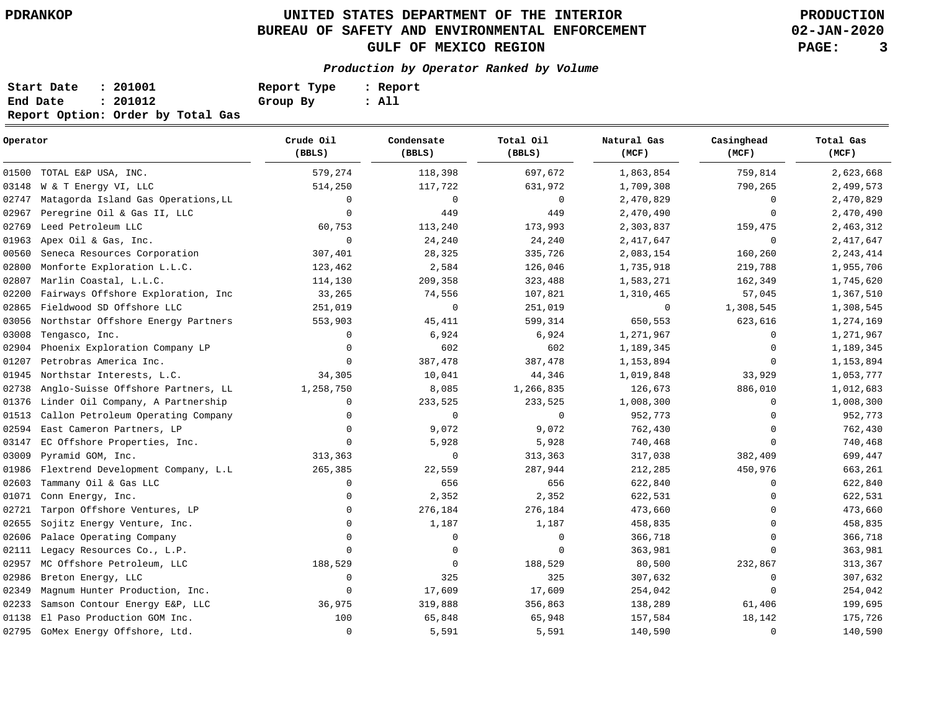**02-JAN-2020**

| Start Date | : 201001                          | Report Type | : Report |
|------------|-----------------------------------|-------------|----------|
| End Date   | : 201012                          | Group By    | : All    |
|            | Report Option: Order by Total Gas |             |          |

| Operator |                                     | Crude Oil<br>(BBLS) | Condensate<br>(BBLS) | Total Oil<br>(BBLS) | Natural Gas<br>(MCF) | Casinghead<br>(MCF) | Total Gas<br>(MCF) |
|----------|-------------------------------------|---------------------|----------------------|---------------------|----------------------|---------------------|--------------------|
| 01500    | TOTAL E&P USA, INC.                 | 579,274             | 118,398              | 697,672             | 1,863,854            | 759,814             | 2,623,668          |
| 03148    | W & T Energy VI, LLC                | 514,250             | 117,722              | 631,972             | 1,709,308            | 790,265             | 2,499,573          |
| 02747    | Matagorda Island Gas Operations, LL | $\mathbf 0$         | $\mathbf 0$          | $\mathbf 0$         | 2,470,829            | $\Omega$            | 2,470,829          |
| 02967    | Peregrine Oil & Gas II, LLC         | $\Omega$            | 449                  | 449                 | 2,470,490            | $\Omega$            | 2,470,490          |
| 02769    | Leed Petroleum LLC                  | 60,753              | 113,240              | 173,993             | 2,303,837            | 159,475             | 2,463,312          |
| 01963    | Apex Oil & Gas, Inc.                | $\mathbf 0$         | 24,240               | 24,240              | 2, 417, 647          | $\mathbf 0$         | 2, 417, 647        |
| 00560    | Seneca Resources Corporation        | 307,401             | 28,325               | 335,726             | 2,083,154            | 160,260             | 2, 243, 414        |
| 02800    | Monforte Exploration L.L.C.         | 123,462             | 2,584                | 126,046             | 1,735,918            | 219,788             | 1,955,706          |
| 02807    | Marlin Coastal, L.L.C.              | 114,130             | 209,358              | 323,488             | 1,583,271            | 162,349             | 1,745,620          |
| 02200    | Fairways Offshore Exploration, Inc  | 33,265              | 74,556               | 107,821             | 1,310,465            | 57,045              | 1,367,510          |
| 02865    | Fieldwood SD Offshore LLC           | 251,019             | $\mathbf 0$          | 251,019             | 0                    | 1,308,545           | 1,308,545          |
| 03056    | Northstar Offshore Energy Partners  | 553,903             | 45,411               | 599,314             | 650,553              | 623,616             | 1,274,169          |
| 03008    | Tengasco, Inc.                      | $\mathbf 0$         | 6,924                | 6,924               | 1,271,967            | $\mathbf 0$         | 1,271,967          |
| 02904    | Phoenix Exploration Company LP      | $\Omega$            | 602                  | 602                 | 1,189,345            | 0                   | 1,189,345          |
| 01207    | Petrobras America Inc.              | $\Omega$            | 387,478              | 387,478             | 1,153,894            | $\mathbf 0$         | 1,153,894          |
| 01945    | Northstar Interests, L.C.           | 34,305              | 10,041               | 44,346              | 1,019,848            | 33,929              | 1,053,777          |
| 02738    | Anglo-Suisse Offshore Partners, LL  | 1,258,750           | 8,085                | 1,266,835           | 126,673              | 886,010             | 1,012,683          |
| 01376    | Linder Oil Company, A Partnership   | 0                   | 233,525              | 233,525             | 1,008,300            | $\Omega$            | 1,008,300          |
| 01513    | Callon Petroleum Operating Company  | $\Omega$            | $\mathbf 0$          | $\mathbf 0$         | 952,773              | $\mathbf 0$         | 952,773            |
| 02594    | East Cameron Partners, LP           | $\mathbf 0$         | 9,072                | 9,072               | 762,430              | $\mathbf 0$         | 762,430            |
| 03147    | EC Offshore Properties, Inc.        | $\mathbf{0}$        | 5,928                | 5,928               | 740,468              | $\Omega$            | 740,468            |
| 03009    | Pyramid GOM, Inc.                   | 313,363             | $\mathbf 0$          | 313,363             | 317,038              | 382,409             | 699,447            |
| 01986    | Flextrend Development Company, L.L  | 265,385             | 22,559               | 287,944             | 212,285              | 450,976             | 663,261            |
| 02603    | Tammany Oil & Gas LLC               | $\mathbf 0$         | 656                  | 656                 | 622,840              | $\Omega$            | 622,840            |
| 01071    | Conn Energy, Inc.                   | $\Omega$            | 2,352                | 2,352               | 622,531              | $\Omega$            | 622,531            |
| 02721    | Tarpon Offshore Ventures, LP        | 0                   | 276,184              | 276,184             | 473,660              | $\Omega$            | 473,660            |
| 02655    | Sojitz Energy Venture, Inc.         | 0                   | 1,187                | 1,187               | 458,835              | $\Omega$            | 458,835            |
| 02606    | Palace Operating Company            | $\mathbf 0$         | 0                    | $\mathbf 0$         | 366,718              | $\mathbf 0$         | 366,718            |
| 02111    | Legacy Resources Co., L.P.          | $\mathbf{0}$        | 0                    | 0                   | 363,981              | $\Omega$            | 363,981            |
| 02957    | MC Offshore Petroleum, LLC          | 188,529             | 0                    | 188,529             | 80,500               | 232,867             | 313,367            |
| 02986    | Breton Energy, LLC                  | 0                   | 325                  | 325                 | 307,632              | $\mathbf 0$         | 307,632            |
| 02349    | Magnum Hunter Production, Inc.      | $\mathbf 0$         | 17,609               | 17,609              | 254,042              | $\mathbf 0$         | 254,042            |
| 02233    | Samson Contour Energy E&P, LLC      | 36,975              | 319,888              | 356,863             | 138,289              | 61,406              | 199,695            |
| 01138    | El Paso Production GOM Inc.         | 100                 | 65,848               | 65,948              | 157,584              | 18,142              | 175,726            |
|          | 02795 GoMex Energy Offshore, Ltd.   | 0                   | 5,591                | 5,591               | 140,590              | $\mathbf 0$         | 140,590            |